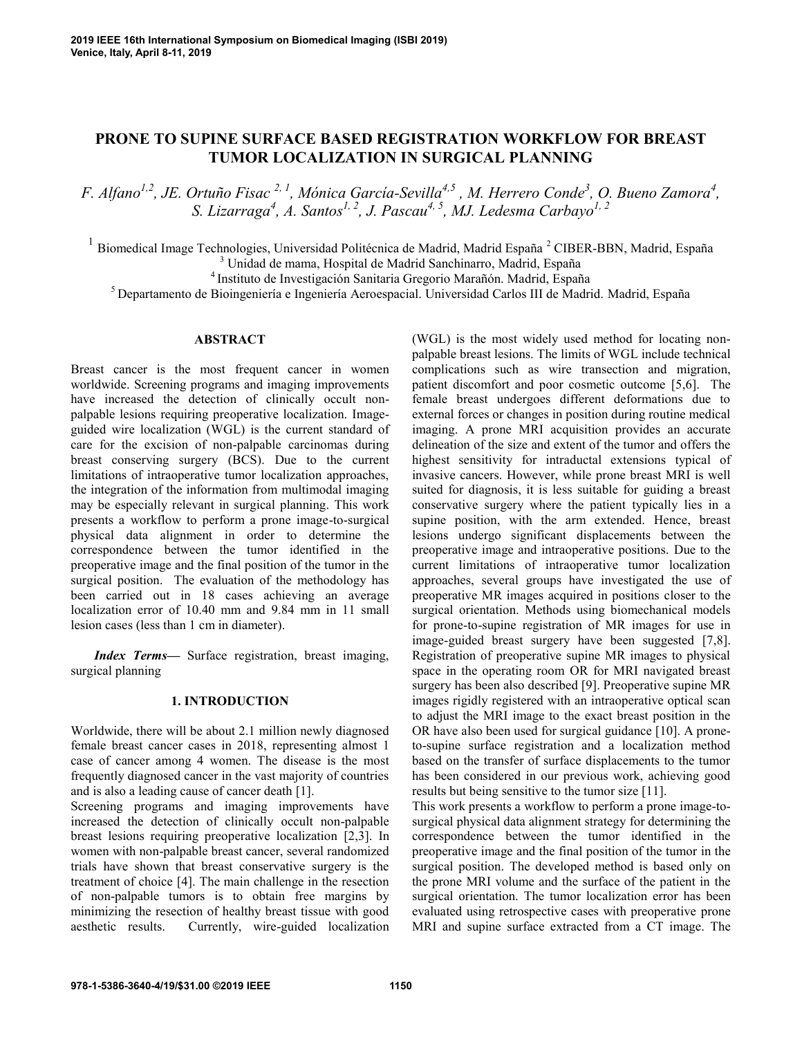# **PRONE TO SUPINE SURFACE BASED REGISTRATION WORKFLOW FOR BREAST TUMOR LOCALIZATION IN SURGICAL PLANNING**

*F. Alfano1,2, JE. Ortuño Fisac 2, 1 , Mónica García-Sevilla4,5 , M. Herrero Conde<sup>3</sup> , O. Bueno Zamora<sup>4</sup> , S. Lizarraga<sup>4</sup> , A. Santos1, 2, J. Pascau4, 5, MJ. Ledesma Carbayo1, 2*

<sup>1</sup> Biomedical Image Technologies, Universidad Politécnica de Madrid, Madrid España<sup>2</sup> CIBER-BBN, Madrid, España <sup>3</sup> Unidad de mama, Hospital de Madrid Sanchinarro, Madrid, España

<sup>4</sup> Instituto de Investigación Sanitaria Gregorio Marañón. Madrid, España

<sup>5</sup> Departamento de Bioingeniería e Ingeniería Aeroespacial. Universidad Carlos III de Madrid. Madrid, España

# **ABSTRACT**

Breast cancer is the most frequent cancer in women worldwide. Screening programs and imaging improvements have increased the detection of clinically occult nonpalpable lesions requiring preoperative localization. Imageguided wire localization (WGL) is the current standard of care for the excision of non-palpable carcinomas during breast conserving surgery (BCS). Due to the current limitations of intraoperative tumor localization approaches, the integration of the information from multimodal imaging may be especially relevant in surgical planning. This work presents a workflow to perform a prone image-to-surgical physical data alignment in order to determine the correspondence between the tumor identified in the preoperative image and the final position of the tumor in the surgical position. The evaluation of the methodology has been carried out in 18 cases achieving an average localization error of 10.40 mm and 9.84 mm in 11 small lesion cases (less than 1 cm in diameter).

*Index Terms—* Surface registration, breast imaging, surgical planning

# **1. INTRODUCTION**

Worldwide, there will be about 2.1 million newly diagnosed female breast cancer cases in 2018, representing almost 1 case of cancer among 4 women. The disease is the most frequently diagnosed cancer in the vast majority of countries and is also a leading cause of cancer death [1].

Screening programs and imaging improvements have increased the detection of clinically occult non-palpable breast lesions requiring preoperative localization [2,3]. In women with non-palpable breast cancer, several randomized trials have shown that breast conservative surgery is the treatment of choice [4]. The main challenge in the resection of non-palpable tumors is to obtain free margins by minimizing the resection of healthy breast tissue with good aesthetic results. Currently, wire-guided localization

(WGL) is the most widely used method for locating nonpalpable breast lesions. The limits of WGL include technical complications such as wire transection and migration, patient discomfort and poor cosmetic outcome [5,6]. The female breast undergoes different deformations due to external forces or changes in position during routine medical imaging. A prone MRI acquisition provides an accurate delineation of the size and extent of the tumor and offers the highest sensitivity for intraductal extensions typical of invasive cancers. However, while prone breast MRI is well suited for diagnosis, it is less suitable for guiding a breast conservative surgery where the patient typically lies in a supine position, with the arm extended. Hence, breast lesions undergo significant displacements between the preoperative image and intraoperative positions. Due to the current limitations of intraoperative tumor localization approaches, several groups have investigated the use of preoperative MR images acquired in positions closer to the surgical orientation. Methods using biomechanical models for prone-to-supine registration of MR images for use in image-guided breast surgery have been suggested [7,8]. Registration of preoperative supine MR images to physical space in the operating room OR for MRI navigated breast surgery has been also described [9]. Preoperative supine MR images rigidly registered with an intraoperative optical scan to adjust the MRI image to the exact breast position in the OR have also been used for surgical guidance [10]. A proneto-supine surface registration and a localization method based on the transfer of surface displacements to the tumor has been considered in our previous work, achieving good results but being sensitive to the tumor size [11].

This work presents a workflow to perform a prone image-tosurgical physical data alignment strategy for determining the correspondence between the tumor identified in the preoperative image and the final position of the tumor in the surgical position. The developed method is based only on the prone MRI volume and the surface of the patient in the surgical orientation. The tumor localization error has been evaluated using retrospective cases with preoperative prone MRI and supine surface extracted from a CT image. The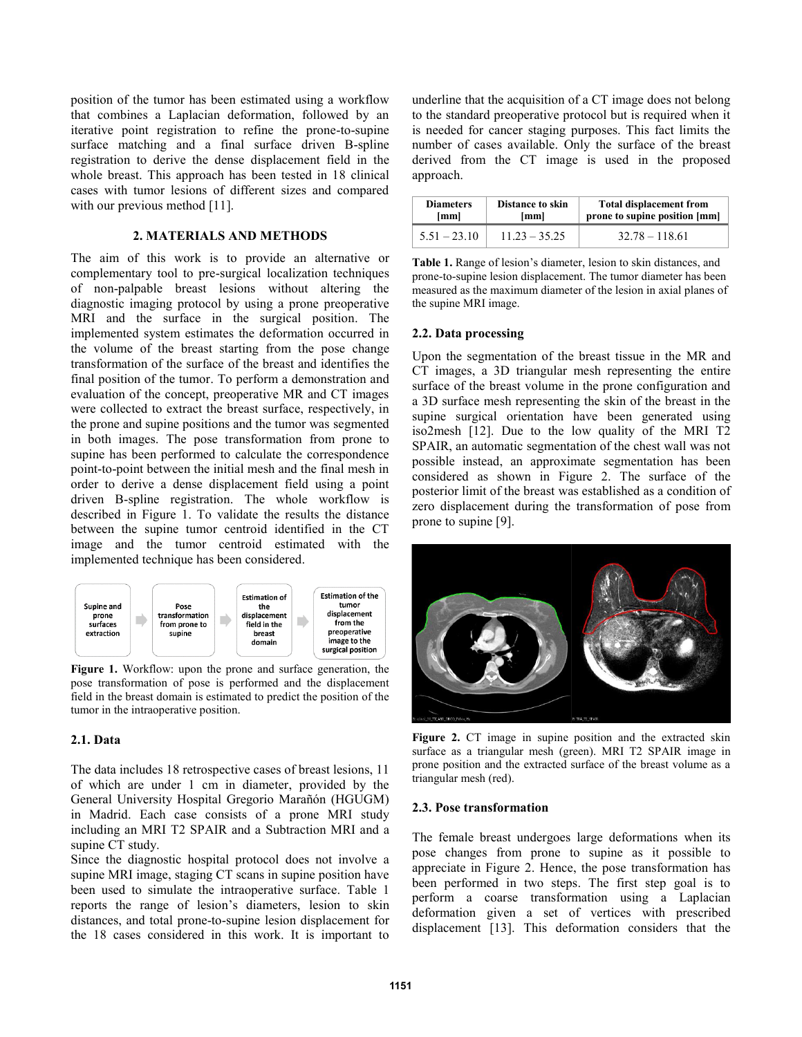position of the tumor has been estimated using a workflow that combines a Laplacian deformation, followed by an iterative point registration to refine the prone-to-supine surface matching and a final surface driven B-spline registration to derive the dense displacement field in the whole breast. This approach has been tested in 18 clinical cases with tumor lesions of different sizes and compared with our previous method [11].

## **2. MATERIALS AND METHODS**

The aim of this work is to provide an alternative or complementary tool to pre-surgical localization techniques of non-palpable breast lesions without altering the diagnostic imaging protocol by using a prone preoperative MRI and the surface in the surgical position. The implemented system estimates the deformation occurred in the volume of the breast starting from the pose change transformation of the surface of the breast and identifies the final position of the tumor. To perform a demonstration and evaluation of the concept, preoperative MR and CT images were collected to extract the breast surface, respectively, in the prone and supine positions and the tumor was segmented in both images. The pose transformation from prone to supine has been performed to calculate the correspondence point-to-point between the initial mesh and the final mesh in order to derive a dense displacement field using a point driven B-spline registration. The whole workflow is described in Figure 1. To validate the results the distance between the supine tumor centroid identified in the CT image and the tumor centroid estimated with the implemented technique has been considered.



**Figure 1.** Workflow: upon the prone and surface generation, the pose transformation of pose is performed and the displacement field in the breast domain is estimated to predict the position of the tumor in the intraoperative position.

# **2.1. Data**

The data includes 18 retrospective cases of breast lesions, 11 of which are under 1 cm in diameter, provided by the General University Hospital Gregorio Marañón (HGUGM) in Madrid. Each case consists of a prone MRI study including an MRI T2 SPAIR and a Subtraction MRI and a supine CT study.

Since the diagnostic hospital protocol does not involve a supine MRI image, staging CT scans in supine position have been used to simulate the intraoperative surface. Table 1 reports the range of lesion's diameters, lesion to skin distances, and total prone-to-supine lesion displacement for the 18 cases considered in this work. It is important to underline that the acquisition of a CT image does not belong to the standard preoperative protocol but is required when it is needed for cancer staging purposes. This fact limits the number of cases available. Only the surface of the breast derived from the CT image is used in the proposed approach.

| <b>Diameters</b> | <b>Distance to skin</b> | <b>Total displacement from</b> |
|------------------|-------------------------|--------------------------------|
| [mm]             | [mm]                    | prone to supine position [mm]  |
| $5.51 - 23.10$   | $11.23 - 35.25$         | $32.78 - 118.61$               |

**Table 1.** Range of lesion's diameter, lesion to skin distances, and prone-to-supine lesion displacement. The tumor diameter has been measured as the maximum diameter of the lesion in axial planes of the supine MRI image.

## **2.2. Data processing**

Upon the segmentation of the breast tissue in the MR and CT images, a 3D triangular mesh representing the entire surface of the breast volume in the prone configuration and a 3D surface mesh representing the skin of the breast in the supine surgical orientation have been generated using iso2mesh [12]. Due to the low quality of the MRI T2 SPAIR, an automatic segmentation of the chest wall was not possible instead, an approximate segmentation has been considered as shown in Figure 2. The surface of the posterior limit of the breast was established as a condition of zero displacement during the transformation of pose from prone to supine [9].



**Figure 2.** CT image in supine position and the extracted skin surface as a triangular mesh (green). MRI T2 SPAIR image in prone position and the extracted surface of the breast volume as a triangular mesh (red).

#### **2.3. Pose transformation**

The female breast undergoes large deformations when its pose changes from prone to supine as it possible to appreciate in Figure 2. Hence, the pose transformation has been performed in two steps. The first step goal is to perform a coarse transformation using a Laplacian deformation given a set of vertices with prescribed displacement [13]. This deformation considers that the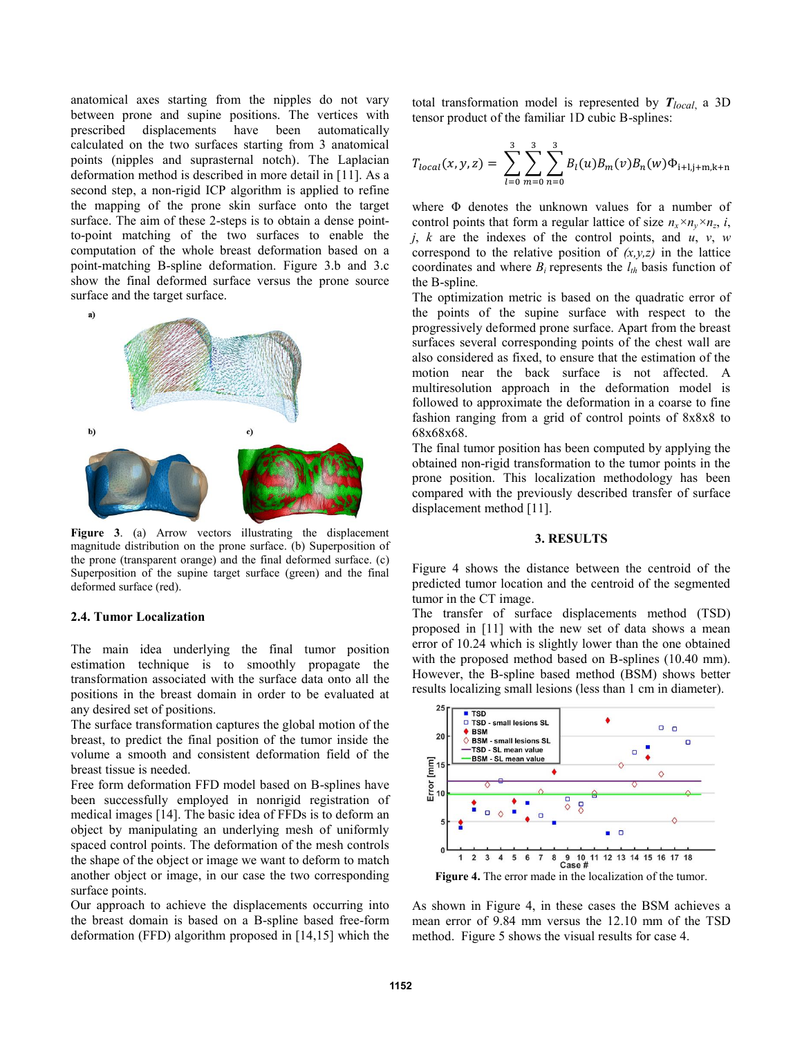anatomical axes starting from the nipples do not vary between prone and supine positions. The vertices with prescribed displacements have been automatically calculated on the two surfaces starting from 3 anatomical points (nipples and suprasternal notch). The Laplacian deformation method is described in more detail in [11]. As a second step, a non-rigid ICP algorithm is applied to refine the mapping of the prone skin surface onto the target surface. The aim of these 2-steps is to obtain a dense pointto-point matching of the two surfaces to enable the computation of the whole breast deformation based on a point-matching B-spline deformation. Figure 3.b and 3.c show the final deformed surface versus the prone source surface and the target surface.



**Figure 3**. (a) Arrow vectors illustrating the displacement magnitude distribution on the prone surface. (b) Superposition of the prone (transparent orange) and the final deformed surface. (c) Superposition of the supine target surface (green) and the final deformed surface (red).

## **2.4. Tumor Localization**

The main idea underlying the final tumor position estimation technique is to smoothly propagate the transformation associated with the surface data onto all the positions in the breast domain in order to be evaluated at any desired set of positions.

The surface transformation captures the global motion of the breast, to predict the final position of the tumor inside the volume a smooth and consistent deformation field of the breast tissue is needed.

Free form deformation FFD model based on B-splines have been successfully employed in nonrigid registration of medical images [14]. The basic idea of FFDs is to deform an object by manipulating an underlying mesh of uniformly spaced control points. The deformation of the mesh controls the shape of the object or image we want to deform to match another object or image, in our case the two corresponding surface points.

Our approach to achieve the displacements occurring into the breast domain is based on a B-spline based free-form deformation (FFD) algorithm proposed in [14,15] which the total transformation model is represented by *Tlocal*, a 3D tensor product of the familiar 1D cubic B-splines:

$$
T_{local}(x, y, z) = \sum_{l=0}^{3} \sum_{m=0}^{3} \sum_{n=0}^{3} B_{l}(u) B_{m}(v) B_{n}(w) \Phi_{i+l,j+m,k+n}
$$

where Φ denotes the unknown values for a number of control points that form a regular lattice of size  $n_x \times n_y \times n_z$ , *i*, *j*, *k* are the indexes of the control points, and *u*, *v*, *w* correspond to the relative position of  $(x, y, z)$  in the lattice coordinates and where  $B_i$  represents the  $l_{th}$  basis function of the B-spline*.*

The optimization metric is based on the quadratic error of the points of the supine surface with respect to the progressively deformed prone surface. Apart from the breast surfaces several corresponding points of the chest wall are also considered as fixed, to ensure that the estimation of the motion near the back surface is not affected. A multiresolution approach in the deformation model is followed to approximate the deformation in a coarse to fine fashion ranging from a grid of control points of 8x8x8 to 68x68x68.

The final tumor position has been computed by applying the obtained non-rigid transformation to the tumor points in the prone position. This localization methodology has been compared with the previously described transfer of surface displacement method [11].

#### **3. RESULTS**

Figure 4 shows the distance between the centroid of the predicted tumor location and the centroid of the segmented tumor in the CT image.

The transfer of surface displacements method (TSD) proposed in [11] with the new set of data shows a mean error of 10.24 which is slightly lower than the one obtained with the proposed method based on B-splines (10.40 mm). However, the B-spline based method (BSM) shows better results localizing small lesions (less than 1 cm in diameter).



As shown in Figure 4, in these cases the BSM achieves a mean error of 9.84 mm versus the 12.10 mm of the TSD method. Figure 5 shows the visual results for case 4.